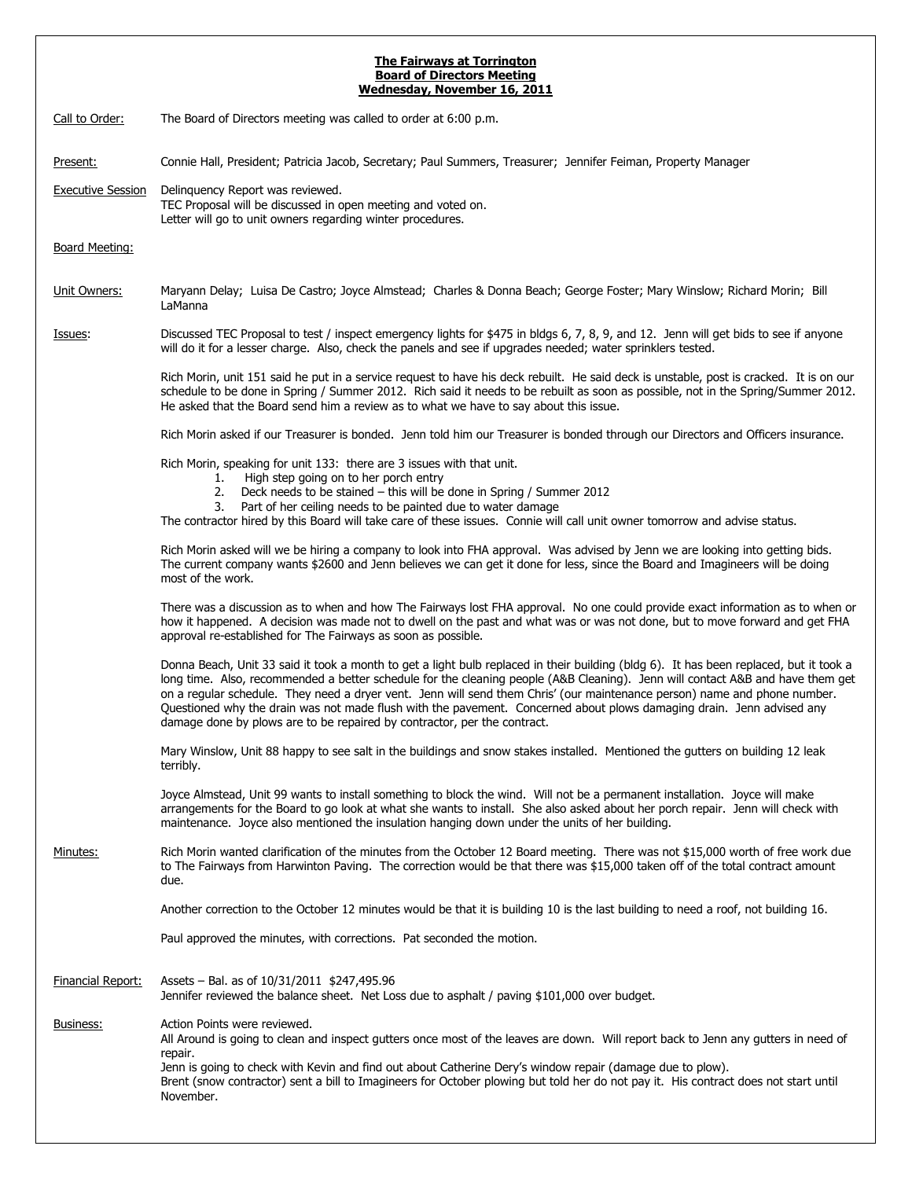## **The Fairways at Torrington Board of Directors Meeting**

| Wednesday, November 16, 2011 |                                                                                                                                                                                                                                                                                                                                                                                                                                                                                                                                                                                                            |
|------------------------------|------------------------------------------------------------------------------------------------------------------------------------------------------------------------------------------------------------------------------------------------------------------------------------------------------------------------------------------------------------------------------------------------------------------------------------------------------------------------------------------------------------------------------------------------------------------------------------------------------------|
| Call to Order:               | The Board of Directors meeting was called to order at 6:00 p.m.                                                                                                                                                                                                                                                                                                                                                                                                                                                                                                                                            |
| Present:                     | Connie Hall, President; Patricia Jacob, Secretary; Paul Summers, Treasurer; Jennifer Feiman, Property Manager                                                                                                                                                                                                                                                                                                                                                                                                                                                                                              |
| <b>Executive Session</b>     | Delinquency Report was reviewed.<br>TEC Proposal will be discussed in open meeting and voted on.<br>Letter will go to unit owners regarding winter procedures.                                                                                                                                                                                                                                                                                                                                                                                                                                             |
| <b>Board Meeting:</b>        |                                                                                                                                                                                                                                                                                                                                                                                                                                                                                                                                                                                                            |
| Unit Owners:                 | Maryann Delay; Luisa De Castro; Joyce Almstead; Charles & Donna Beach; George Foster; Mary Winslow; Richard Morin; Bill<br>LaManna                                                                                                                                                                                                                                                                                                                                                                                                                                                                         |
| <u>Issues:</u>               | Discussed TEC Proposal to test / inspect emergency lights for \$475 in bldgs 6, 7, 8, 9, and 12. Jenn will get bids to see if anyone<br>will do it for a lesser charge. Also, check the panels and see if upgrades needed; water sprinklers tested.                                                                                                                                                                                                                                                                                                                                                        |
|                              | Rich Morin, unit 151 said he put in a service request to have his deck rebuilt. He said deck is unstable, post is cracked. It is on our<br>schedule to be done in Spring / Summer 2012. Rich said it needs to be rebuilt as soon as possible, not in the Spring/Summer 2012.<br>He asked that the Board send him a review as to what we have to say about this issue.                                                                                                                                                                                                                                      |
|                              | Rich Morin asked if our Treasurer is bonded. Jenn told him our Treasurer is bonded through our Directors and Officers insurance.                                                                                                                                                                                                                                                                                                                                                                                                                                                                           |
|                              | Rich Morin, speaking for unit 133: there are 3 issues with that unit.<br>High step going on to her porch entry<br>1.<br>2. Deck needs to be stained - this will be done in Spring / Summer 2012<br>Part of her ceiling needs to be painted due to water damage<br>3.<br>The contractor hired by this Board will take care of these issues. Connie will call unit owner tomorrow and advise status.                                                                                                                                                                                                         |
|                              | Rich Morin asked will we be hiring a company to look into FHA approval. Was advised by Jenn we are looking into getting bids.<br>The current company wants \$2600 and Jenn believes we can get it done for less, since the Board and Imagineers will be doing<br>most of the work.                                                                                                                                                                                                                                                                                                                         |
|                              | There was a discussion as to when and how The Fairways lost FHA approval. No one could provide exact information as to when or<br>how it happened. A decision was made not to dwell on the past and what was or was not done, but to move forward and get FHA<br>approval re-established for The Fairways as soon as possible.                                                                                                                                                                                                                                                                             |
|                              | Donna Beach, Unit 33 said it took a month to get a light bulb replaced in their building (bldg 6). It has been replaced, but it took a<br>long time. Also, recommended a better schedule for the cleaning people (A&B Cleaning). Jenn will contact A&B and have them get<br>on a regular schedule. They need a dryer vent. Jenn will send them Chris' (our maintenance person) name and phone number.<br>Questioned why the drain was not made flush with the pavement. Concerned about plows damaging drain. Jenn advised any<br>damage done by plows are to be repaired by contractor, per the contract. |
|                              | Mary Winslow, Unit 88 happy to see salt in the buildings and snow stakes installed. Mentioned the gutters on building 12 leak<br>terribly.                                                                                                                                                                                                                                                                                                                                                                                                                                                                 |
|                              | Joyce Almstead, Unit 99 wants to install something to block the wind. Will not be a permanent installation. Joyce will make<br>arrangements for the Board to go look at what she wants to install. She also asked about her porch repair. Jenn will check with<br>maintenance. Joyce also mentioned the insulation hanging down under the units of her building.                                                                                                                                                                                                                                           |
| Minutes:                     | Rich Morin wanted clarification of the minutes from the October 12 Board meeting. There was not \$15,000 worth of free work due<br>to The Fairways from Harwinton Paving. The correction would be that there was \$15,000 taken off of the total contract amount<br>due.                                                                                                                                                                                                                                                                                                                                   |
|                              | Another correction to the October 12 minutes would be that it is building 10 is the last building to need a roof, not building 16.                                                                                                                                                                                                                                                                                                                                                                                                                                                                         |
|                              | Paul approved the minutes, with corrections. Pat seconded the motion.                                                                                                                                                                                                                                                                                                                                                                                                                                                                                                                                      |
| Financial Report:            | Assets - Bal. as of 10/31/2011 \$247,495.96<br>Jennifer reviewed the balance sheet. Net Loss due to asphalt / paving \$101,000 over budget.                                                                                                                                                                                                                                                                                                                                                                                                                                                                |
| Business:                    | Action Points were reviewed.<br>All Around is going to clean and inspect gutters once most of the leaves are down. Will report back to Jenn any gutters in need of<br>repair.<br>Jenn is going to check with Kevin and find out about Catherine Dery's window repair (damage due to plow).<br>Brent (snow contractor) sent a bill to Imagineers for October plowing but told her do not pay it. His contract does not start until<br>November.                                                                                                                                                             |